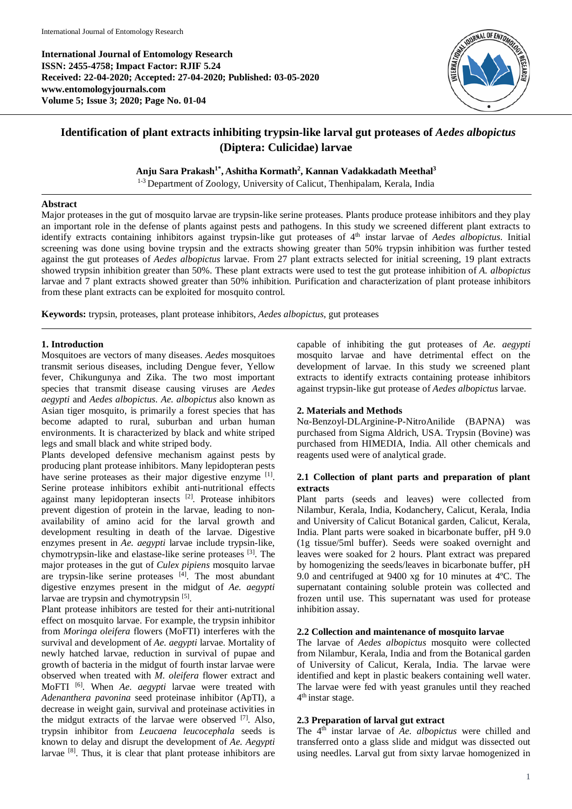**International Journal of Entomology Research ISSN: 2455-4758; Impact Factor: RJIF 5.24 Received: 22-04-2020; Accepted: 27-04-2020; Published: 03-05-2020 www.entomologyjournals.com Volume 5; Issue 3; 2020; Page No. 01-04**



# **Identification of plant extracts inhibiting trypsin-like larval gut proteases of** *Aedes albopictus* **(Diptera: Culicidae) larvae**

Anju Sara Prakash<sup>1\*</sup>, Ashitha Kormath<sup>2</sup>, Kannan Vadakkadath Meethal<sup>3</sup>

<sup>1-3</sup> Department of Zoology, University of Calicut, Thenhipalam, Kerala, India

## **Abstract**

Major proteases in the gut of mosquito larvae are trypsin-like serine proteases. Plants produce protease inhibitors and they play an important role in the defense of plants against pests and pathogens. In this study we screened different plant extracts to identify extracts containing inhibitors against trypsin-like gut proteases of 4<sup>th</sup> instar larvae of *Aedes albopictus*. Initial screening was done using bovine trypsin and the extracts showing greater than 50% trypsin inhibition was further tested against the gut proteases of *Aedes albopictus* larvae. From 27 plant extracts selected for initial screening, 19 plant extracts showed trypsin inhibition greater than 50%. These plant extracts were used to test the gut protease inhibition of *A. albopictus* larvae and 7 plant extracts showed greater than 50% inhibition. Purification and characterization of plant protease inhibitors from these plant extracts can be exploited for mosquito control.

**Keywords:** trypsin, proteases, plant protease inhibitors, *Aedes albopictus*, gut proteases

## **1. Introduction**

Mosquitoes are vectors of many diseases. *Aedes* mosquitoes transmit serious diseases, including Dengue fever, Yellow fever, Chikungunya and Zika. The two most important species that transmit disease causing viruses are *Aedes aegypti* and *Aedes albopictus*. *Ae. albopictus* also known as Asian tiger mosquito, is primarily a forest species that has become adapted to rural, suburban and urban human environments. It is characterized by black and white striped legs and small black and white striped body.

Plants developed defensive mechanism against pests by producing plant protease inhibitors. Many lepidopteran pests have serine proteases as their major digestive enzyme <sup>[1]</sup>. Serine protease inhibitors exhibit anti-nutritional effects against many lepidopteran insects [2]. Protease inhibitors prevent digestion of protein in the larvae, leading to nonavailability of amino acid for the larval growth and development resulting in death of the larvae. Digestive enzymes present in *Ae. aegypti* larvae include trypsin-like, chymotrypsin-like and elastase-like serine proteases [3]. The major proteases in the gut of *Culex pipiens* mosquito larvae are trypsin-like serine proteases  $[4]$ . The most abundant digestive enzymes present in the midgut of *Ae. aegypti*  larvae are trypsin and chymotrypsin [5].

Plant protease inhibitors are tested for their anti-nutritional effect on mosquito larvae. For example, the trypsin inhibitor from *Moringa oleifera* flowers (MoFTI) interferes with the survival and development of *Ae. aegypti* larvae. Mortality of newly hatched larvae, reduction in survival of pupae and growth of bacteria in the midgut of fourth instar larvae were observed when treated with *M. oleifera* flower extract and MoFTI [6]. When *Ae*. *aegypti* larvae were treated with *Adenanthera pavonina* seed proteinase inhibitor (ApTI), a decrease in weight gain, survival and proteinase activities in the midgut extracts of the larvae were observed  $^{[7]}$ . Also, trypsin inhibitor from *Leucaena leucocephala* seeds is known to delay and disrupt the development of *Ae. Aegypti*  larvae [8]. Thus, it is clear that plant protease inhibitors are capable of inhibiting the gut proteases of *Ae. aegypti* mosquito larvae and have detrimental effect on the development of larvae. In this study we screened plant extracts to identify extracts containing protease inhibitors against trypsin-like gut protease of *Aedes albopictus* larvae.

## **2. Materials and Methods**

Nα-Benzoyl-DLArginine-P-NitroAnilide (BAPNA) was purchased from Sigma Aldrich, USA. Trypsin (Bovine) was purchased from HIMEDIA, India. All other chemicals and reagents used were of analytical grade.

## **2.1 Collection of plant parts and preparation of plant extracts**

Plant parts (seeds and leaves) were collected from Nilambur, Kerala, India, Kodanchery, Calicut, Kerala, India and University of Calicut Botanical garden, Calicut, Kerala, India. Plant parts were soaked in bicarbonate buffer, pH 9.0 (1g tissue/5ml buffer). Seeds were soaked overnight and leaves were soaked for 2 hours. Plant extract was prepared by homogenizing the seeds/leaves in bicarbonate buffer, pH 9.0 and centrifuged at 9400 xg for 10 minutes at 4ºC. The supernatant containing soluble protein was collected and frozen until use. This supernatant was used for protease inhibition assay.

## **2.2 Collection and maintenance of mosquito larvae**

The larvae of *Aedes albopictus* mosquito were collected from Nilambur, Kerala, India and from the Botanical garden of University of Calicut, Kerala, India. The larvae were identified and kept in plastic beakers containing well water. The larvae were fed with yeast granules until they reached 4th instar stage.

## **2.3 Preparation of larval gut extract**

The 4th instar larvae of *Ae. albopictus* were chilled and transferred onto a glass slide and midgut was dissected out using needles. Larval gut from sixty larvae homogenized in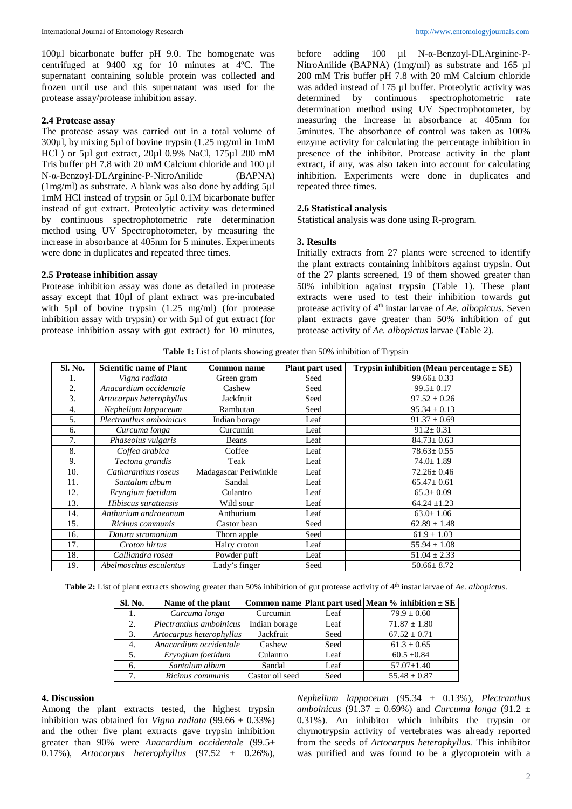100µl bicarbonate buffer pH 9.0. The homogenate was centrifuged at 9400 xg for 10 minutes at 4ºC. The supernatant containing soluble protein was collected and frozen until use and this supernatant was used for the protease assay/protease inhibition assay.

## **2.4 Protease assay**

The protease assay was carried out in a total volume of 300µl, by mixing 5µl of bovine trypsin (1.25 mg/ml in 1mM HCl ) or 5µl gut extract, 20µl 0.9% NaCl, 175µl 200 mM Tris buffer pH 7.8 with 20 mM Calcium chloride and 100 µl N-α-Benzoyl-DLArginine-P-NitroAnilide (BAPNA) (1mg/ml) as substrate. A blank was also done by adding 5µl 1mM HCl instead of trypsin or 5µl 0.1M bicarbonate buffer instead of gut extract. Proteolytic activity was determined by continuous spectrophotometric rate determination method using UV Spectrophotometer, by measuring the increase in absorbance at 405nm for 5 minutes. Experiments were done in duplicates and repeated three times.

#### **2.5 Protease inhibition assay**

Protease inhibition assay was done as detailed in protease assay except that 10µl of plant extract was pre-incubated with 5µl of bovine trypsin (1.25 mg/ml) (for protease inhibition assay with trypsin) or with 5µl of gut extract (for protease inhibition assay with gut extract) for 10 minutes,

before adding 100 µl N-α-Benzoyl-DLArginine-P-NitroAnilide (BAPNA) (1mg/ml) as substrate and 165 µl 200 mM Tris buffer pH 7.8 with 20 mM Calcium chloride was added instead of 175 µl buffer. Proteolytic activity was determined by continuous spectrophotometric rate determination method using UV Spectrophotometer, by measuring the increase in absorbance at 405nm for 5minutes. The absorbance of control was taken as 100% enzyme activity for calculating the percentage inhibition in presence of the inhibitor. Protease activity in the plant extract, if any, was also taken into account for calculating inhibition. Experiments were done in duplicates and repeated three times.

#### **2.6 Statistical analysis**

Statistical analysis was done using R-program.

#### **3. Results**

Initially extracts from 27 plants were screened to identify the plant extracts containing inhibitors against trypsin. Out of the 27 plants screened, 19 of them showed greater than 50% inhibition against trypsin (Table 1). These plant extracts were used to test their inhibition towards gut protease activity of 4<sup>th</sup> instar larvae of *Ae. albopictus*. Seven plant extracts gave greater than 50% inhibition of gut protease activity of *Ae. albopictus* larvae (Table 2).

**Table 1:** List of plants showing greater than 50% inhibition of Trypsin

| Sl. No. | <b>Scientific name of Plant</b> | Common name           | Plant part used | Trypsin inhibition (Mean percentage $\pm$ SE) |
|---------|---------------------------------|-----------------------|-----------------|-----------------------------------------------|
| 1.      | Vigna radiata                   | Green gram            | Seed            | $99.66 \pm 0.33$                              |
| 2.      | Anacardium occidentale          | Cashew                | Seed            | $99.5 \pm 0.17$                               |
| 3.      | Artocarpus heterophyllus        | Jackfruit             | Seed            | $97.52 \pm 0.26$                              |
| 4.      | Nephelium lappaceum             | Rambutan              | Seed            | $95.34 \pm 0.13$                              |
| 5.      | Plectranthus amboinicus         | Indian borage         | Leaf            | $91.37 \pm 0.69$                              |
| 6.      | Curcuma longa                   | Curcumin              | Leaf            | $91.2 \pm 0.31$                               |
| 7.      | Phaseolus vulgaris              | <b>Beans</b>          | Leaf            | $84.73 \pm 0.63$                              |
| 8.      | Coffea arabica                  | Coffee                | Leaf            | $78.63 \pm 0.55$                              |
| 9.      | Tectona grandis                 | Teak                  | Leaf            | $74.0 \pm 1.89$                               |
| 10.     | Catharanthus roseus             | Madagascar Periwinkle | Leaf            | $72.26 \pm 0.46$                              |
| 11.     | Santalum album                  | Sandal                | Leaf            | $65.47 \pm 0.61$                              |
| 12.     | Eryngium foetidum               | Culantro              | Leaf            | $65.3 \pm 0.09$                               |
| 13.     | Hibiscus surattensis            | Wild sour             | Leaf            | $64.24 \pm 1.23$                              |
| 14.     | Anthurium andraeanum            | Anthurium             | Leaf            | $63.0 \pm 1.06$                               |
| 15.     | Ricinus communis                | Castor bean           | Seed            | $62.89 \pm 1.48$                              |
| 16.     | Datura stramonium               | Thorn apple           | Seed            | $61.9 \pm 1.03$                               |
| 17.     | Croton hirtus                   | Hairy croton          | Leaf            | $55.94 \pm 1.08$                              |
| 18.     | Calliandra rosea                | Powder puff           | Leaf            | $51.04 \pm 2.33$                              |
| 19.     | Abelmoschus esculentus          | Lady's finger         | Seed            | $50.66 \pm 8.72$                              |

**Table 2:** List of plant extracts showing greater than 50% inhibition of gut protease activity of 4<sup>th</sup> instar larvae of *Ae. albopictus*.

| Sl. No.          | Name of the plant        |                 |      | Common name Plant part used Mean $%$ inhibition $\pm$ SE |
|------------------|--------------------------|-----------------|------|----------------------------------------------------------|
| 1.               | Curcuma longa            | Curcumin        | Leaf | $79.9 \pm 0.60$                                          |
| 2.               | Plectranthus amboinicus  | Indian borage   | Leaf | $71.87 \pm 1.80$                                         |
| 3.               | Artocarpus heterophyllus | Jackfruit       | Seed | $67.52 \pm 0.71$                                         |
| $\overline{4}$ . | Anacardium occidentale   | Cashew          | Seed | $61.3 \pm 0.65$                                          |
| 5.               | Eryngium foetidum        | Culantro        | Leaf | $60.5 \pm 0.84$                                          |
| 6.               | Santalum album           | Sandal          | Leaf | $57.07 \pm 1.40$                                         |
| 7.               | Ricinus communis         | Castor oil seed | Seed | $55.48 \pm 0.87$                                         |

#### **4. Discussion**

Among the plant extracts tested, the highest trypsin inhibition was obtained for *Vigna radiata*  $(99.66 \pm 0.33\%)$ and the other five plant extracts gave trypsin inhibition greater than 90% were *Anacardium occidentale* (99.5± 0.17%), *Artocarpus heterophyllus* (97.52 ± 0.26%),

*Nephelium lappaceum* (95.34 ± 0.13%), *Plectranthus amboinicus* (91.37  $\pm$  0.69%) and *Curcuma longa* (91.2  $\pm$ 0.31%). An inhibitor which inhibits the trypsin or chymotrypsin activity of vertebrates was already reported from the seeds of *Artocarpus heterophyllus.* This inhibitor was purified and was found to be a glycoprotein with a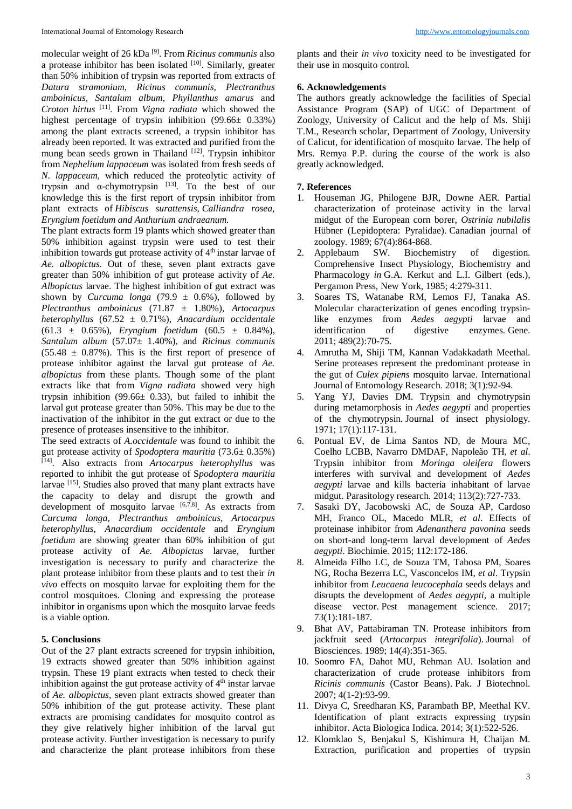molecular weight of 26 kDa [9]. From *Ricinus communis* also a protease inhibitor has been isolated  $[10]$ . Similarly, greater than 50% inhibition of trypsin was reported from extracts of *Datura stramonium, Ricinus communis, Plectranthus amboinicus, Santalum album, Phyllanthus amarus* and *Croton hirtus* [11]*.* From *Vigna radiata* which showed the highest percentage of trypsin inhibition (99.66± 0.33%) among the plant extracts screened, a trypsin inhibitor has already been reported*.* It was extracted and purified from the mung bean seeds grown in Thailand  $[12]$ . Trypsin inhibitor from *Nephelium lappaceum* was isolated from fresh seeds of *N*. *lappaceum,* which reduced the proteolytic activity of trypsin and  $\alpha$ -chymotrypsin  $^{[13]}$ . To the best of our knowledge this is the first report of trypsin inhibitor from plant extracts of *Hibiscus surattensis*, *Calliandra rosea*, *Eryngium foetidum and Anthurium andraeanum.* 

The plant extracts form 19 plants which showed greater than 50% inhibition against trypsin were used to test their inhibition towards gut protease activity of  $4<sup>th</sup>$  instar larvae of *Ae. albopictus.* Out of these, seven plant extracts gave greater than 50% inhibition of gut protease activity of *Ae. Albopictus* larvae. The highest inhibition of gut extract was shown by *Curcuma longa* (79.9  $\pm$  0.6%), followed by *Plectranthus amboinicus* (71.87 ± 1.80%), *Artocarpus heterophyllus* (67.52 ± 0.71%), *Anacardium occidentale*  (61.3 ± 0.65%), *Eryngium foetidum* (60.5 ± 0.84%), *Santalum album* (57.07± 1.40%), and *Ricinus communis*  $(55.48 \pm 0.87\%)$ . This is the first report of presence of protease inhibitor against the larval gut protease of *Ae. albopictus* from these plants. Though some of the plant extracts like that from *Vigna radiata* showed very high trypsin inhibition (99.66 $\pm$  0.33), but failed to inhibit the larval gut protease greater than 50%. This may be due to the inactivation of the inhibitor in the gut extract or due to the presence of proteases insensitive to the inhibitor.

The seed extracts of *A.occidentale* was found to inhibit the gut protease activity of *Spodoptera mauritia* (73.6± 0.35%) [14]. Also extracts from *Artocarpus heterophyllus* was reported to inhibit the gut protease of S*podoptera mauritia*  larvae [15]. Studies also proved that many plant extracts have the capacity to delay and disrupt the growth and development of mosquito larvae [6,7,8]. As extracts from *Curcuma longa, Plectranthus amboinicus*, *Artocarpus heterophyllus, Anacardium occidentale* and *Eryngium foetidum* are showing greater than 60% inhibition of gut protease activity of *Ae. Albopictus* larvae, further investigation is necessary to purify and characterize the plant protease inhibitor from these plants and to test their *in vivo* effects on mosquito larvae for exploiting them for the control mosquitoes. Cloning and expressing the protease inhibitor in organisms upon which the mosquito larvae feeds is a viable option.

# **5. Conclusions**

Out of the 27 plant extracts screened for trypsin inhibition, 19 extracts showed greater than 50% inhibition against trypsin. These 19 plant extracts when tested to check their inhibition against the gut protease activity of  $4<sup>th</sup>$  instar larvae of *Ae. albopictus*, seven plant extracts showed greater than 50% inhibition of the gut protease activity. These plant extracts are promising candidates for mosquito control as they give relatively higher inhibition of the larval gut protease activity. Further investigation is necessary to purify and characterize the plant protease inhibitors from these

plants and their *in vivo* toxicity need to be investigated for their use in mosquito control.

## **6. Acknowledgements**

The authors greatly acknowledge the facilities of Special Assistance Program (SAP) of UGC of Department of Zoology, University of Calicut and the help of Ms. Shiji T.M., Research scholar, Department of Zoology, University of Calicut, for identification of mosquito larvae. The help of Mrs. Remya P.P. during the course of the work is also greatly acknowledged.

# **7. References**

- 1. Houseman JG, Philogene BJR, Downe AER. Partial characterization of proteinase activity in the larval midgut of the European corn borer, *Ostrinia nubilalis* Hübner (Lepidoptera: Pyralidae). Canadian journal of zoology. 1989; 67(4):864-868.
- 2. Applebaum SW. Biochemistry of digestion. Comprehensive Insect Physiology, Biochemistry and Pharmacology *in* G.A. Kerkut and L.I. Gilbert (eds.), Pergamon Press, New York, 1985; 4:279-311.
- 3. Soares TS, Watanabe RM, Lemos FJ, Tanaka AS. Molecular characterization of genes encoding trypsinlike enzymes from *Aedes aegypti* larvae and identification of digestive enzymes. Gene. 2011; 489(2):70-75.
- 4. Amrutha M, Shiji TM, Kannan Vadakkadath Meethal. Serine proteases represent the predominant protease in the gut of *Culex pipiens* mosquito larvae. International Journal of Entomology Research. 2018; 3(1):92-94.
- 5. Yang YJ, Davies DM. Trypsin and chymotrypsin during metamorphosis in *Aedes aegypti* and properties of the chymotrypsin. Journal of insect physiology. 1971; 17(1):117-131.
- 6. Pontual EV, de Lima Santos ND, de Moura MC, Coelho LCBB, Navarro DMDAF, Napoleão TH, *et al*. Trypsin inhibitor from *Moringa oleifera* flowers interferes with survival and development of *Aedes aegypti* larvae and kills bacteria inhabitant of larvae midgut. Parasitology research. 2014; 113(2):727-733.
- 7. Sasaki DY, Jacobowski AC, de Souza AP, Cardoso MH, Franco OL, Macedo MLR, *et al*. Effects of proteinase inhibitor from *Adenanthera pavonina* seeds on short-and long-term larval development of *Aedes aegypti*. Biochimie. 2015; 112:172-186.
- 8. Almeida Filho LC, de Souza TM, Tabosa PM, Soares NG, Rocha Bezerra LC, Vasconcelos IM, *et al*. Trypsin inhibitor from *Leucaena leucocephala* seeds delays and disrupts the development of *Aedes aegypti*, a multiple disease vector. Pest management science. 2017; 73(1):181-187.
- 9. Bhat AV, Pattabiraman TN. Protease inhibitors from jackfruit seed (*Artocarpus integrifolia*). Journal of Biosciences. 1989; 14(4):351-365.
- 10. Soomro FA, Dahot MU, Rehman AU. Isolation and characterization of crude protease inhibitors from *Ricinis communis* (Castor Beans). Pak. J Biotechnol. 2007; 4(1-2):93-99.
- 11. Divya C, Sreedharan KS, Parambath BP, Meethal KV. Identification of plant extracts expressing trypsin inhibitor. Acta Biologica Indica. 2014; 3(1):522-526.
- 12. Klomklao S, Benjakul S, Kishimura H, Chaijan M. Extraction, purification and properties of trypsin